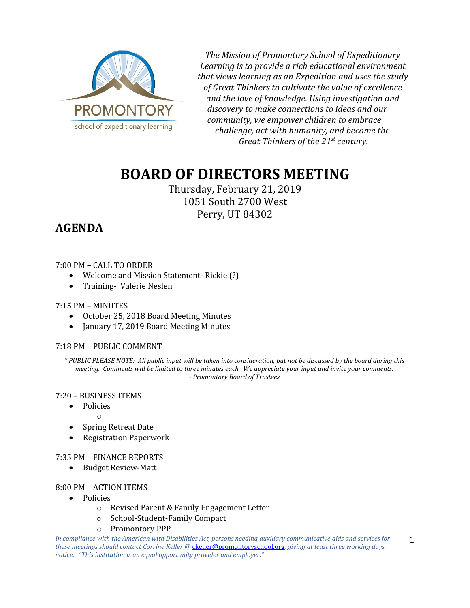

*The Mission of Promontory School of Expeditionary Learning is to provide a rich educational environment that views learning as an Expedition and uses the study of Great Thinkers to cultivate the value of excellence and the love of knowledge. Using investigation and discovery to make connections to ideas and our community, we empower children to embrace challenge, act with humanity, and become the Great Thinkers of the 21st century.*

# **BOARD OF DIRECTORS MEETING**

Thursday, February 21, 2019 1051 South 2700 West Perry, UT 84302

# **AGENDA**

# 7:00 PM – CALL TO ORDER

- Welcome and Mission Statement- Rickie (?)
- Training- Valerie Neslen

# 7:15 PM – MINUTES

- October 25, 2018 Board Meeting Minutes
- January 17, 2019 Board Meeting Minutes

# 7:18 PM – PUBLIC COMMENT

*\* PUBLIC PLEASE NOTE: All public input will be taken into consideration, but not be discussed by the board during this meeting. Comments will be limited to three minutes each. We appreciate your input and invite your comments. - Promontory Board of Trustees*

# 7:20 – BUSINESS ITEMS

o

- Policies
	-
- Spring Retreat Date
- Registration Paperwork

# 7:35 PM – FINANCE REPORTS

Budget Review-Matt

# 8:00 PM – ACTION ITEMS

- Policies
	- o Revised Parent & Family Engagement Letter
	- o School-Student-Family Compact
	- o Promontory PPP

*In compliance with the American with Disabilities Act, persons needing auxiliary communicative aids and services for these meetings should contact Corrine Keller @* [ckeller@promontoryschool.org](mailto:ckeller@promontoryschool.org)*, giving at least three working days notice. "This institution is an equal opportunity provider and employer."* 1